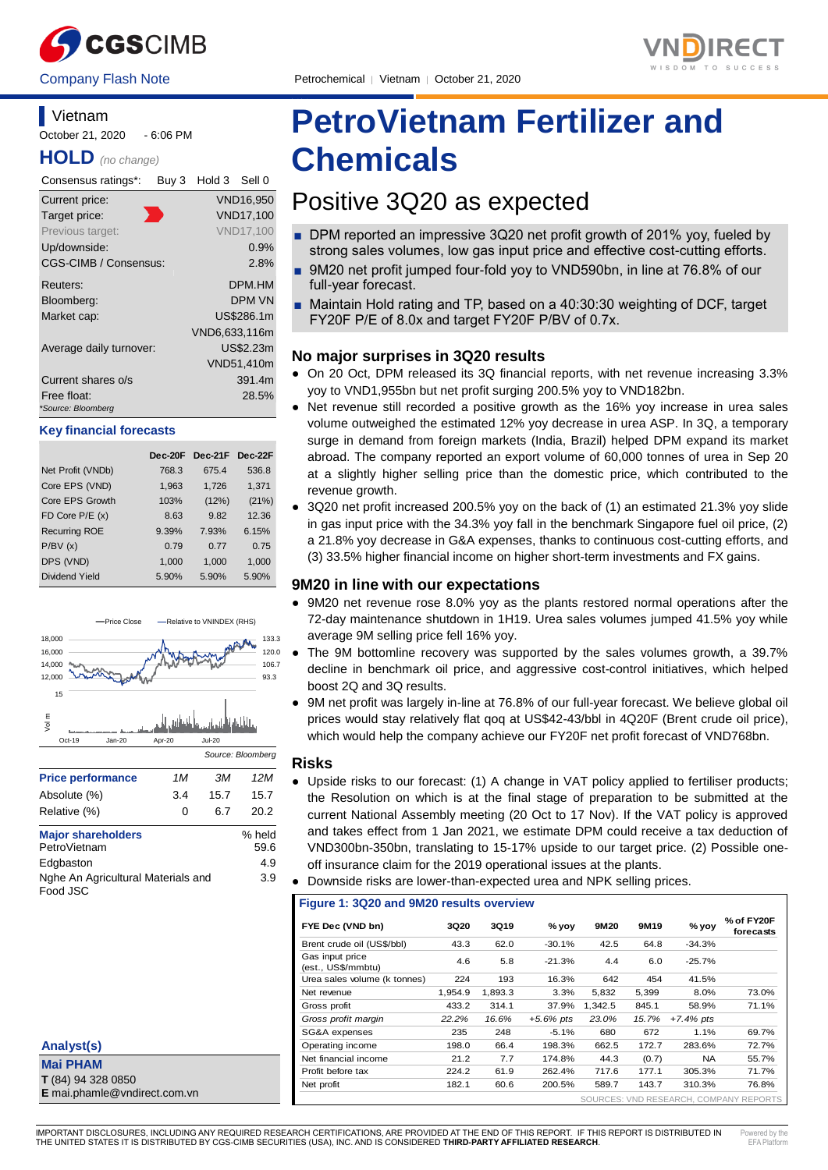



# **Vietnam** October 21, 2020 - 6:06 PM

**HOLD** *(no change)*

| Consensus ratings*:               | Buy 3 | Hold 3 Sell 0 |                  |
|-----------------------------------|-------|---------------|------------------|
| Current price:                    |       |               | <b>VND16,950</b> |
| Target price:                     |       |               | <b>VND17,100</b> |
| Previous target:                  |       |               | <b>VND17,100</b> |
| Up/downside:                      |       |               | 0.9%             |
| CGS-CIMB / Consensus:             |       |               | 2.8%             |
| Reuters:                          |       |               | <b>DPM.HM</b>    |
| Bloomberg:                        |       |               | <b>DPM VN</b>    |
| Market cap:                       |       |               | US\$286.1m       |
|                                   |       | VND6,633,116m |                  |
| Average daily turnover:           |       |               | US\$2.23m        |
|                                   |       |               | VND51,410m       |
| Current shares o/s                |       |               | 391.4m           |
| Free float:<br>*Source: Bloomberg |       |               | 28.5%            |

### **Key financial forecasts**

|                      | Dec-20F | Dec-21F Dec-22F |       |
|----------------------|---------|-----------------|-------|
| Net Profit (VNDb)    | 768.3   | 675.4           | 536.8 |
| Core EPS (VND)       | 1,963   | 1.726           | 1,371 |
| Core EPS Growth      | 103%    | (12%)           | (21%) |
| FD Core $P/E(x)$     | 8.63    | 9.82            | 12.36 |
| <b>Recurring ROE</b> | 9.39%   | 7.93%           | 6.15% |
| P/BV(x)              | 0.79    | 0.77            | 0.75  |
| DPS (VND)            | 1,000   | 1,000           | 1,000 |
| Dividend Yield       | 5.90%   | 5.90%           | 5.90% |



| Analyst(s)                   |
|------------------------------|
| <b>Mai PHAM</b>              |
| T (84) 94 328 0850           |
| E mai.phamle@vndirect.com.vn |

# **PetroVietnam Fertilizer and Chemicals**

# Positive 3Q20 as expected

- DPM reported an impressive 3Q20 net profit growth of 201% yoy, fueled by strong sales volumes, low gas input price and effective cost-cutting efforts.
- 9M20 net profit jumped four-fold yoy to VND590bn, in line at 76.8% of our full-year forecast.
- Maintain Hold rating and TP, based on a 40:30:30 weighting of DCF, target FY20F P/E of 8.0x and target FY20F P/BV of 0.7x.

# **No major surprises in 3Q20 results**

- On 20 Oct, DPM released its 3Q financial reports, with net revenue increasing 3.3% yoy to VND1,955bn but net profit surging 200.5% yoy to VND182bn.
- Net revenue still recorded a positive growth as the 16% yoy increase in urea sales volume outweighed the estimated 12% yoy decrease in urea ASP. In 3Q, a temporary surge in demand from foreign markets (India, Brazil) helped DPM expand its market abroad. The company reported an export volume of 60,000 tonnes of urea in Sep 20 at a slightly higher selling price than the domestic price, which contributed to the revenue growth.
- 3Q20 net profit increased 200.5% yoy on the back of (1) an estimated 21.3% yoy slide in gas input price with the 34.3% yoy fall in the benchmark Singapore fuel oil price, (2) a 21.8% yoy decrease in G&A expenses, thanks to continuous cost-cutting efforts, and (3) 33.5% higher financial income on higher short-term investments and FX gains.

# **9M20 in line with our expectations**

- 9M20 net revenue rose 8.0% yoy as the plants restored normal operations after the 72-day maintenance shutdown in 1H19. Urea sales volumes jumped 41.5% yoy while average 9M selling price fell 16% yoy.
- The 9M bottomline recovery was supported by the sales volumes growth, a 39.7% decline in benchmark oil price, and aggressive cost-control initiatives, which helped boost 2Q and 3Q results.
- 9M net profit was largely in-line at 76.8% of our full-year forecast. We believe global oil prices would stay relatively flat qoq at US\$42-43/bbl in 4Q20F (Brent crude oil price), which would help the company achieve our FY20F net profit forecast of VND768bn.

# **Risks**

٦

- Upside risks to our forecast: (1) A change in VAT policy applied to fertiliser products; the Resolution on which is at the final stage of preparation to be submitted at the current National Assembly meeting (20 Oct to 17 Nov). If the VAT policy is approved and takes effect from 1 Jan 2021, we estimate DPM could receive a tax deduction of VND300bn-350bn, translating to 15-17% upside to our target price. (2) Possible oneoff insurance claim for the 2019 operational issues at the plants.
- Downside risks are lower-than-expected urea and NPK selling prices.

### **Figure 1: 3Q20 and 9M20 results overview**

| FYE Dec (VND bn)                      | <b>3Q20</b> | <b>3Q19</b> | $%$ yoy     | 9M20    | 9M <sub>19</sub> | % yoy       | % of FY20F<br>forecasts                |
|---------------------------------------|-------------|-------------|-------------|---------|------------------|-------------|----------------------------------------|
| Brent crude oil (US\$/bbl)            | 43.3        | 62.0        | $-30.1%$    | 42.5    | 64.8             | $-34.3%$    |                                        |
| Gas input price<br>(est., US\$/mmbtu) | 4.6         | 5.8         | $-21.3%$    | 4.4     | 6.0              | $-25.7%$    |                                        |
| Urea sales volume (k tonnes)          | 224         | 193         | 16.3%       | 642     | 454              | 41.5%       |                                        |
| Net revenue                           | 1.954.9     | 1.893.3     | 3.3%        | 5.832   | 5.399            | 8.0%        | 73.0%                                  |
| Gross profit                          | 433.2       | 314.1       | 37.9%       | 1.342.5 | 845.1            | 58.9%       | 71.1%                                  |
| Gross profit margin                   | 22.2%       | 16.6%       | $+5.6%$ pts | 23.0%   | 15.7%            | $+7.4%$ pts |                                        |
| SG&A expenses                         | 235         | 248         | $-5.1%$     | 680     | 672              | 1.1%        | 69.7%                                  |
| Operating income                      | 198.0       | 66.4        | 198.3%      | 662.5   | 172.7            | 283.6%      | 72.7%                                  |
| Net financial income                  | 21.2        | 7.7         | 174.8%      | 44.3    | (0.7)            | <b>NA</b>   | 55.7%                                  |
| Profit before tax                     | 224.2       | 61.9        | 262.4%      | 717.6   | 177.1            | 305.3%      | 71.7%                                  |
| Net profit                            | 182.1       | 60.6        | 200.5%      | 589.7   | 143.7            | 310.3%      | 76.8%                                  |
|                                       |             |             |             |         |                  |             | SOURCES: VND RESEARCH, COMPANY REPORTS |

IMPORTANT DISCLOSURES, INCLUDING ANY REQUIRED RESEARCH CERTIFICATIONS, ARE PROVIDED AT THE END OF THIS REPORT. IF THIS REPORT IS DISTRIBUTED IN THE UNITED STATES IT IS DISTRIBUTED BY CGS-CIMB SECURITIES (USA), INC. AND IS CONSIDERED **THIRD-PARTY AFFILIATED RESEARCH**.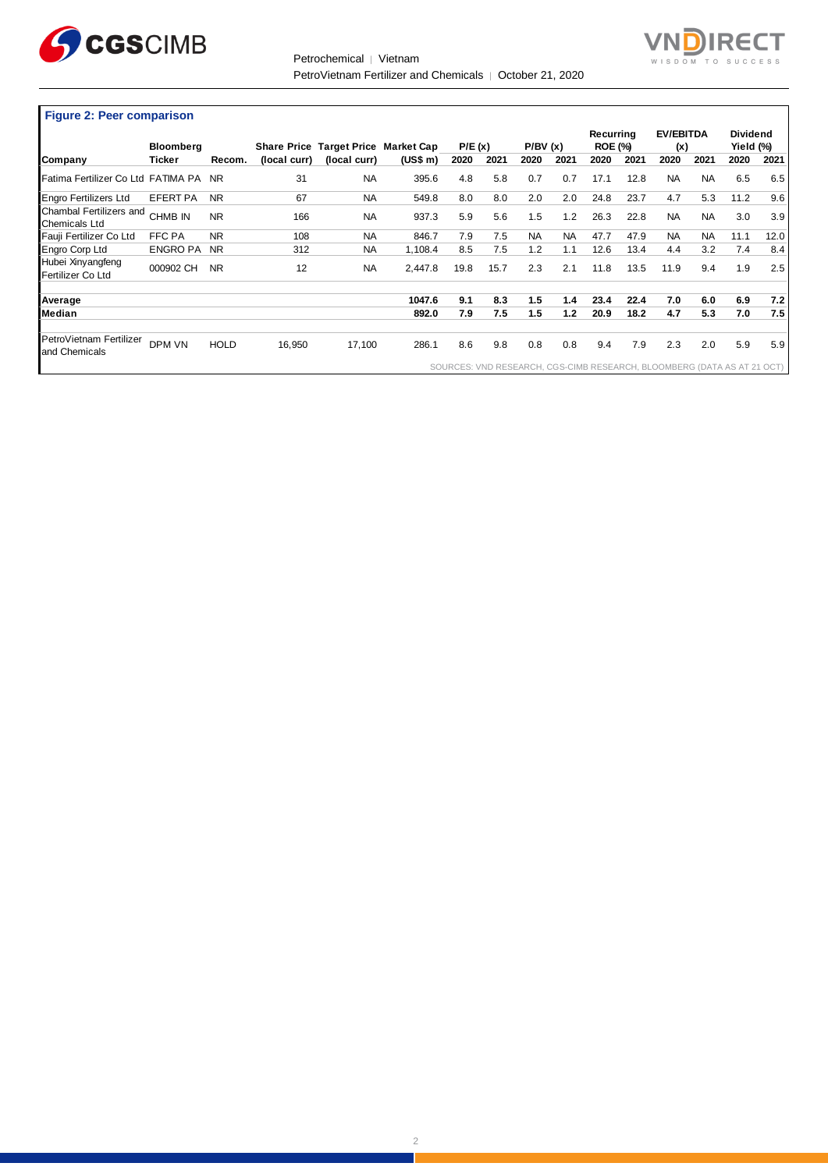

Petrochemical │ Vietnam PetroVietnam Fertilizer and Chemicals │ October 21, 2020



ヿ

**Figure 2: Peer comparison** 

|                                                 |                  |             |              |                                     |          |        |      |           |           | Recurring      |      | <b>EV/EBITDA</b>                                                        |           | <b>Dividend</b> |      |
|-------------------------------------------------|------------------|-------------|--------------|-------------------------------------|----------|--------|------|-----------|-----------|----------------|------|-------------------------------------------------------------------------|-----------|-----------------|------|
|                                                 | <b>Bloomberg</b> |             |              | Share Price Target Price Market Cap |          | P/E(x) |      | P/BV(x)   |           | <b>ROE (%)</b> |      | (x)                                                                     |           | Yield (%)       |      |
| Company                                         | Ticker           | Recom.      | (local curr) | (local curr)                        | (US\$ m) | 2020   | 2021 | 2020      | 2021      | 2020           | 2021 | 2020                                                                    | 2021      | 2020            | 2021 |
| Fatima Fertilizer Co Ltd FATIMA PA NR           |                  |             | 31           | <b>NA</b>                           | 395.6    | 4.8    | 5.8  | 0.7       | 0.7       | 17.1           | 12.8 | <b>NA</b>                                                               | <b>NA</b> | 6.5             | 6.5  |
| <b>Engro Fertilizers Ltd</b>                    | <b>EFERT PA</b>  | <b>NR</b>   | 67           | <b>NA</b>                           | 549.8    | 8.0    | 8.0  | 2.0       | 2.0       | 24.8           | 23.7 | 4.7                                                                     | 5.3       | 11.2            | 9.6  |
| Chambal Fertilizers and<br><b>Chemicals Ltd</b> | CHMB IN          | <b>NR</b>   | 166          | <b>NA</b>                           | 937.3    | 5.9    | 5.6  | 1.5       | 1.2       | 26.3           | 22.8 | <b>NA</b>                                                               | <b>NA</b> | 3.0             | 3.9  |
| Fauji Fertilizer Co Ltd                         | FFC PA           | <b>NR</b>   | 108          | <b>NA</b>                           | 846.7    | 7.9    | 7.5  | <b>NA</b> | <b>NA</b> | 47.7           | 47.9 | <b>NA</b>                                                               | <b>NA</b> | 11.1            | 12.0 |
| Engro Corp Ltd                                  | <b>ENGRO PA</b>  | <b>NR</b>   | 312          | <b>NA</b>                           | 1,108.4  | 8.5    | 7.5  | 1.2       | 1.1       | 12.6           | 13.4 | 4.4                                                                     | 3.2       | 7.4             | 8.4  |
| Hubei Xinyangfeng<br>Fertilizer Co Ltd          | 000902 CH        | <b>NR</b>   | 12           | <b>NA</b>                           | 2.447.8  | 19.8   | 15.7 | 2.3       | 2.1       | 11.8           | 13.5 | 11.9                                                                    | 9.4       | 1.9             | 2.5  |
| Average                                         |                  |             |              |                                     | 1047.6   | 9.1    | 8.3  | 1.5       | 1.4       | 23.4           | 22.4 | 7.0                                                                     | 6.0       | 6.9             | 7.2  |
| Median                                          |                  |             |              |                                     | 892.0    | 7.9    | 7.5  | 1.5       | 1.2       | 20.9           | 18.2 | 4.7                                                                     | 5.3       | 7.0             | 7.5  |
| PetroVietnam Fertilizer<br>and Chemicals        | DPM VN           | <b>HOLD</b> | 16,950       | 17,100                              | 286.1    | 8.6    | 9.8  | 0.8       | 0.8       | 9.4            | 7.9  | 2.3                                                                     | 2.0       | 5.9             | 5.9  |
|                                                 |                  |             |              |                                     |          |        |      |           |           |                |      | SOURCES: VND RESEARCH, CGS-CIMB RESEARCH, BLOOMBERG (DATA AS AT 21 OCT) |           |                 |      |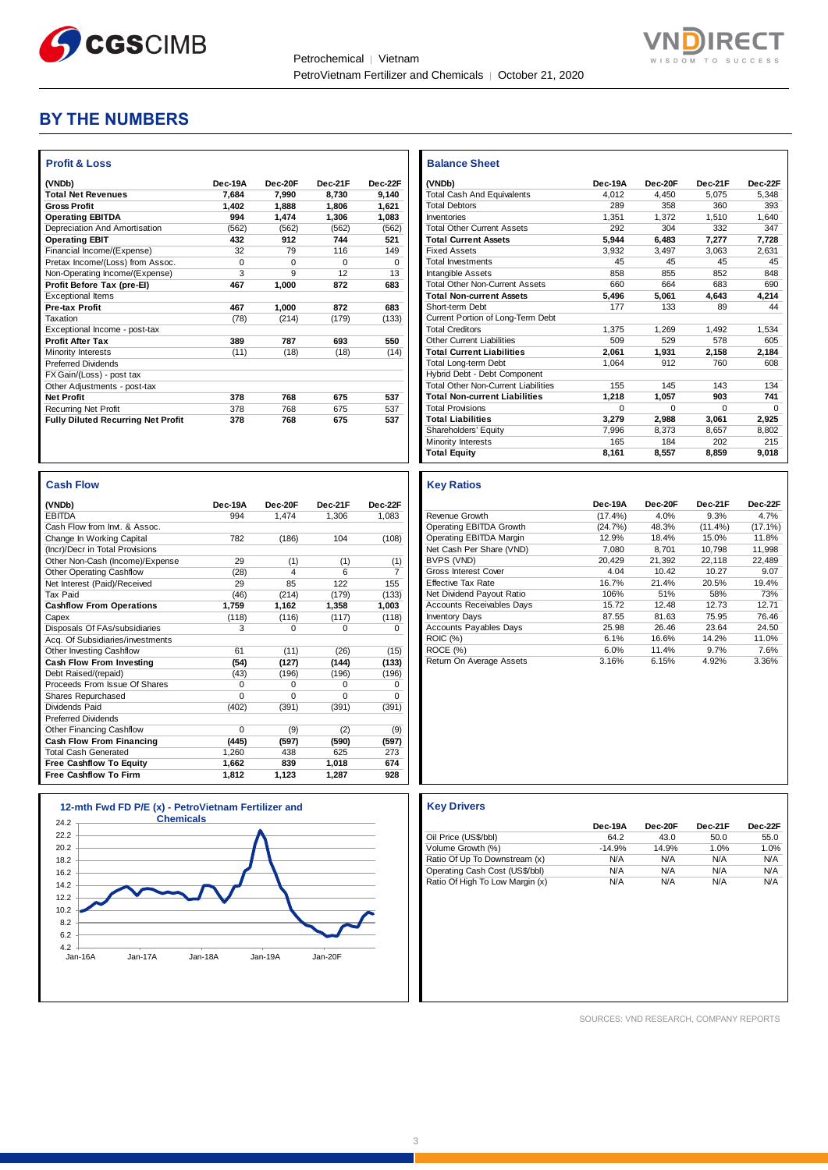



# **BY THE NUMBERS**

| (VNDb)                                    | Dec-19A  | Dec-20E  | Dec-21F  | Dec-22F  |
|-------------------------------------------|----------|----------|----------|----------|
| <b>Total Net Revenues</b>                 | 7.684    | 7.990    | 8.730    | 9.140    |
| <b>Gross Profit</b>                       | 1.402    | 1.888    | 1.806    | 1.621    |
| <b>Operating EBITDA</b>                   | 994      | 1,474    | 1,306    | 1,083    |
| Depreciation And Amortisation             | (562)    | (562)    | (562)    | (562)    |
| <b>Operating EBIT</b>                     | 432      | 912      | 744      | 521      |
| Financial Income/(Expense)                | 32       | 79       | 116      | 149      |
| Pretax Income/(Loss) from Assoc.          | $\Omega$ | $\Omega$ | $\Omega$ | $\Omega$ |
| Non-Operating Income/(Expense)            | 3        | 9        | 12       | 13       |
| Profit Before Tax (pre-El)                | 467      | 1.000    | 872      | 683      |
| <b>Exceptional Items</b>                  |          |          |          |          |
| <b>Pre-tax Profit</b>                     | 467      | 1,000    | 872      | 683      |
| Taxation                                  | (78)     | (214)    | (179)    | (133)    |
| Exceptional Income - post-tax             |          |          |          |          |
| <b>Profit After Tax</b>                   | 389      | 787      | 693      | 550      |
| Minority Interests                        | (11)     | (18)     | (18)     | (14)     |
| <b>Preferred Dividends</b>                |          |          |          |          |
| FX Gain/(Loss) - post tax                 |          |          |          |          |
| Other Adjustments - post-tax              |          |          |          |          |
| <b>Net Profit</b>                         | 378      | 768      | 675      | 537      |
| <b>Recurring Net Profit</b>               | 378      | 768      | 675      | 537      |
| <b>Fully Diluted Recurring Net Profit</b> | 378      | 768      | 675      | 537      |

| <b>Cash Flow</b>                 |          |          |          |                |
|----------------------------------|----------|----------|----------|----------------|
| (VNDb)                           | Dec-19A  | Dec-20F  | Dec-21F  | Dec-22F        |
| <b>EBITDA</b>                    | 994      | 1,474    | 1,306    | 1,083          |
| Cash Flow from Invt. & Assoc.    |          |          |          |                |
| Change In Working Capital        | 782      | (186)    | 104      | (108)          |
| (Incr)/Decr in Total Provisions  |          |          |          |                |
| Other Non-Cash (Income)/Expense  | 29       | (1)      | (1)      | (1)            |
| <b>Other Operating Cashflow</b>  | (28)     | 4        | 6        | $\overline{7}$ |
| Net Interest (Paid)/Received     | 29       | 85       | 122      | 155            |
| <b>Tax Paid</b>                  | (46)     | (214)    | (179)    | (133)          |
| <b>Cashflow From Operations</b>  | 1,759    | 1,162    | 1,358    | 1,003          |
| Capex                            | (118)    | (116)    | (117)    | (118)          |
| Disposals Of FAs/subsidiaries    | 3        | 0        | $\Omega$ | $\Omega$       |
| Acq. Of Subsidiaries/investments |          |          |          |                |
| Other Investing Cashflow         | 61       | (11)     | (26)     | (15)           |
| Cash Flow From Investing         | (54)     | (127)    | (144)    | (133)          |
| Debt Raised/(repaid)             | (43)     | (196)    | (196)    | (196)          |
| Proceeds From Issue Of Shares    | $\Omega$ | 0        | $\Omega$ | 0              |
| Shares Repurchased               | $\Omega$ | $\Omega$ | $\Omega$ | $\Omega$       |
| Dividends Paid                   | (402)    | (391)    | (391)    | (391)          |
| <b>Preferred Dividends</b>       |          |          |          |                |
| Other Financing Cashflow         | $\Omega$ | (9)      | (2)      | (9)            |
| Cash Flow From Financing         | (445)    | (597)    | (590)    | (597)          |
| <b>Total Cash Generated</b>      | 1,260    | 438      | 625      | 273            |
| <b>Free Cashflow To Equity</b>   | 1,662    | 839      | 1.018    | 674            |
| <b>Free Cashflow To Firm</b>     | 1,812    | 1,123    | 1,287    | 928            |



| <b>Balance Sheet</b>                  |          |          |          |          |
|---------------------------------------|----------|----------|----------|----------|
| (VNDb)                                | Dec-19A  | Dec-20F  | Dec-21F  | Dec-22F  |
| <b>Total Cash And Equivalents</b>     | 4.012    | 4.450    | 5.075    | 5.348    |
| <b>Total Debtors</b>                  | 289      | 358      | 360      | 393      |
| Inventories                           | 1.351    | 1.372    | 1.510    | 1.640    |
| <b>Total Other Current Assets</b>     | 292      | 304      | 332      | 347      |
| <b>Total Current Assets</b>           | 5.944    | 6.483    | 7.277    | 7.728    |
| <b>Fixed Assets</b>                   | 3.932    | 3.497    | 3.063    | 2.631    |
| <b>Total Investments</b>              | 45       | 45       | 45       | 45       |
| Intangible Assets                     | 858      | 855      | 852      | 848      |
| <b>Total Other Non-Current Assets</b> | 660      | 664      | 683      | 690      |
| <b>Total Non-current Assets</b>       | 5,496    | 5,061    | 4.643    | 4,214    |
| Short-term Debt                       | 177      | 133      | 89       | 44       |
| Current Portion of Long-Term Debt     |          |          |          |          |
| <b>Total Creditors</b>                | 1.375    | 1.269    | 1.492    | 1.534    |
| Other Current Liabilities             | 509      | 529      | 578      | 605      |
| <b>Total Current Liabilities</b>      | 2.061    | 1.931    | 2.158    | 2.184    |
| Total Long-term Debt                  | 1.064    | 912      | 760      | 608      |
| Hybrid Debt - Debt Component          |          |          |          |          |
| Total Other Non-Current Liabilities   | 155      | 145      | 143      | 134      |
| <b>Total Non-current Liabilities</b>  | 1.218    | 1.057    | 903      | 741      |
| <b>Total Provisions</b>               | $\Omega$ | $\Omega$ | $\Omega$ | $\Omega$ |
| <b>Total Liabilities</b>              | 3,279    | 2.988    | 3,061    | 2,925    |
| Shareholders' Equity                  | 7.996    | 8.373    | 8,657    | 8,802    |
| Minority Interests                    | 165      | 184      | 202      | 215      |
| <b>Total Equity</b>                   | 8,161    | 8,557    | 8,859    | 9,018    |

### **Key Ratios**

٦

|                                  | Dec-19A    | Dec-20F | Dec-21F    | Dec-22F    |
|----------------------------------|------------|---------|------------|------------|
| Revenue Growth                   | $(17.4\%)$ | 4.0%    | 9.3%       | 4.7%       |
| Operating EBITDA Growth          | (24.7%)    | 48.3%   | $(11.4\%)$ | $(17.1\%)$ |
| Operating EBITDA Margin          | 12.9%      | 18.4%   | 15.0%      | 11.8%      |
| Net Cash Per Share (VND)         | 7.080      | 8.701   | 10.798     | 11.998     |
| BVPS (VND)                       | 20.429     | 21.392  | 22.118     | 22.489     |
| <b>Gross Interest Cover</b>      | 4.04       | 10.42   | 10.27      | 9.07       |
| <b>Effective Tax Rate</b>        | 16.7%      | 21.4%   | 20.5%      | 19.4%      |
| Net Dividend Payout Ratio        | 106%       | 51%     | 58%        | 73%        |
| <b>Accounts Receivables Days</b> | 15.72      | 12.48   | 12.73      | 12.71      |
| <b>Inventory Days</b>            | 87.55      | 81.63   | 75.95      | 76.46      |
| <b>Accounts Payables Days</b>    | 25.98      | 26.46   | 23.64      | 24.50      |
| <b>ROIC (%)</b>                  | 6.1%       | 16.6%   | 14.2%      | 11.0%      |
| ROCE (%)                         | 6.0%       | 11.4%   | 9.7%       | 7.6%       |
| Return On Average Assets         | 3.16%      | 6.15%   | 4.92%      | 3.36%      |

|                                 | Dec-19A  | Dec-20F | Dec-21F | Dec-22F |
|---------------------------------|----------|---------|---------|---------|
| Oil Price (US\$/bbl)            | 64.2     | 43.0    | 50.0    | 55.0    |
| Volume Growth (%)               | $-14.9%$ | 14.9%   | 1.0%    | 1.0%    |
| Ratio Of Up To Downstream (x)   | N/A      | N/A     | N/A     | N/A     |
| Operating Cash Cost (US\$/bbl)  | N/A      | N/A     | N/A     | N/A     |
| Ratio Of High To Low Margin (x) | N/A      | N/A     | N/A     | N/A     |

SOURCES: VND RESEARCH, COMPANY REPORTS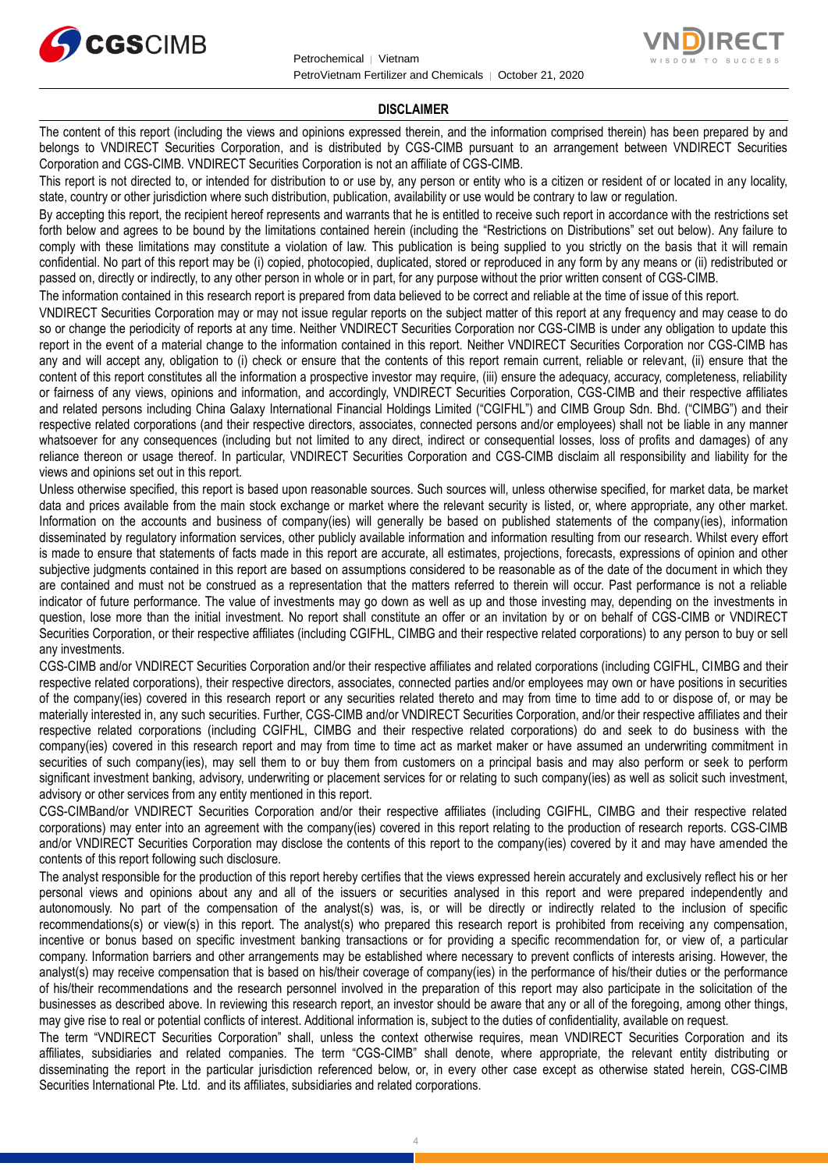



### **DISCLAIMER**

The content of this report (including the views and opinions expressed therein, and the information comprised therein) has been prepared by and belongs to VNDIRECT Securities Corporation, and is distributed by CGS-CIMB pursuant to an arrangement between VNDIRECT Securities Corporation and CGS-CIMB. VNDIRECT Securities Corporation is not an affiliate of CGS-CIMB.

This report is not directed to, or intended for distribution to or use by, any person or entity who is a citizen or resident of or located in any locality, state, country or other jurisdiction where such distribution, publication, availability or use would be contrary to law or regulation.

By accepting this report, the recipient hereof represents and warrants that he is entitled to receive such report in accordance with the restrictions set forth below and agrees to be bound by the limitations contained herein (including the "Restrictions on Distributions" set out below). Any failure to comply with these limitations may constitute a violation of law. This publication is being supplied to you strictly on the basis that it will remain confidential. No part of this report may be (i) copied, photocopied, duplicated, stored or reproduced in any form by any means or (ii) redistributed or passed on, directly or indirectly, to any other person in whole or in part, for any purpose without the prior written consent of CGS-CIMB.

The information contained in this research report is prepared from data believed to be correct and reliable at the time of issue of this report.

VNDIRECT Securities Corporation may or may not issue regular reports on the subject matter of this report at any frequency and may cease to do so or change the periodicity of reports at any time. Neither VNDIRECT Securities Corporation nor CGS-CIMB is under any obligation to update this report in the event of a material change to the information contained in this report. Neither VNDIRECT Securities Corporation nor CGS-CIMB has any and will accept any, obligation to (i) check or ensure that the contents of this report remain current, reliable or relevant, (ii) ensure that the content of this report constitutes all the information a prospective investor may require, (iii) ensure the adequacy, accuracy, completeness, reliability or fairness of any views, opinions and information, and accordingly, VNDIRECT Securities Corporation, CGS-CIMB and their respective affiliates and related persons including China Galaxy International Financial Holdings Limited ("CGIFHL") and CIMB Group Sdn. Bhd. ("CIMBG") and their respective related corporations (and their respective directors, associates, connected persons and/or employees) shall not be liable in any manner whatsoever for any consequences (including but not limited to any direct, indirect or consequential losses, loss of profits and damages) of any reliance thereon or usage thereof. In particular, VNDIRECT Securities Corporation and CGS-CIMB disclaim all responsibility and liability for the views and opinions set out in this report.

Unless otherwise specified, this report is based upon reasonable sources. Such sources will, unless otherwise specified, for market data, be market data and prices available from the main stock exchange or market where the relevant security is listed, or, where appropriate, any other market. Information on the accounts and business of company(ies) will generally be based on published statements of the company(ies), information disseminated by regulatory information services, other publicly available information and information resulting from our research. Whilst every effort is made to ensure that statements of facts made in this report are accurate, all estimates, projections, forecasts, expressions of opinion and other subjective judgments contained in this report are based on assumptions considered to be reasonable as of the date of the document in which they are contained and must not be construed as a representation that the matters referred to therein will occur. Past performance is not a reliable indicator of future performance. The value of investments may go down as well as up and those investing may, depending on the investments in question, lose more than the initial investment. No report shall constitute an offer or an invitation by or on behalf of CGS-CIMB or VNDIRECT Securities Corporation, or their respective affiliates (including CGIFHL, CIMBG and their respective related corporations) to any person to buy or sell any investments.

CGS-CIMB and/or VNDIRECT Securities Corporation and/or their respective affiliates and related corporations (including CGIFHL, CIMBG and their respective related corporations), their respective directors, associates, connected parties and/or employees may own or have positions in securities of the company(ies) covered in this research report or any securities related thereto and may from time to time add to or dispose of, or may be materially interested in, any such securities. Further, CGS-CIMB and/or VNDIRECT Securities Corporation, and/or their respective affiliates and their respective related corporations (including CGIFHL, CIMBG and their respective related corporations) do and seek to do business with the company(ies) covered in this research report and may from time to time act as market maker or have assumed an underwriting commitment in securities of such company(ies), may sell them to or buy them from customers on a principal basis and may also perform or seek to perform significant investment banking, advisory, underwriting or placement services for or relating to such company(ies) as well as solicit such investment, advisory or other services from any entity mentioned in this report.

CGS-CIMBand/or VNDIRECT Securities Corporation and/or their respective affiliates (including CGIFHL, CIMBG and their respective related corporations) may enter into an agreement with the company(ies) covered in this report relating to the production of research reports. CGS-CIMB and/or VNDIRECT Securities Corporation may disclose the contents of this report to the company(ies) covered by it and may have amended the contents of this report following such disclosure.

The analyst responsible for the production of this report hereby certifies that the views expressed herein accurately and exclusively reflect his or her personal views and opinions about any and all of the issuers or securities analysed in this report and were prepared independently and autonomously. No part of the compensation of the analyst(s) was, is, or will be directly or indirectly related to the inclusion of specific recommendations(s) or view(s) in this report. The analyst(s) who prepared this research report is prohibited from receiving any compensation, incentive or bonus based on specific investment banking transactions or for providing a specific recommendation for, or view of, a particular company. Information barriers and other arrangements may be established where necessary to prevent conflicts of interests arising. However, the analyst(s) may receive compensation that is based on his/their coverage of company(ies) in the performance of his/their duties or the performance of his/their recommendations and the research personnel involved in the preparation of this report may also participate in the solicitation of the businesses as described above. In reviewing this research report, an investor should be aware that any or all of the foregoing, among other things, may give rise to real or potential conflicts of interest. Additional information is, subject to the duties of confidentiality, available on request.

The term "VNDIRECT Securities Corporation" shall, unless the context otherwise requires, mean VNDIRECT Securities Corporation and its affiliates, subsidiaries and related companies. The term "CGS-CIMB" shall denote, where appropriate, the relevant entity distributing or disseminating the report in the particular jurisdiction referenced below, or, in every other case except as otherwise stated herein, CGS-CIMB Securities International Pte. Ltd. and its affiliates, subsidiaries and related corporations.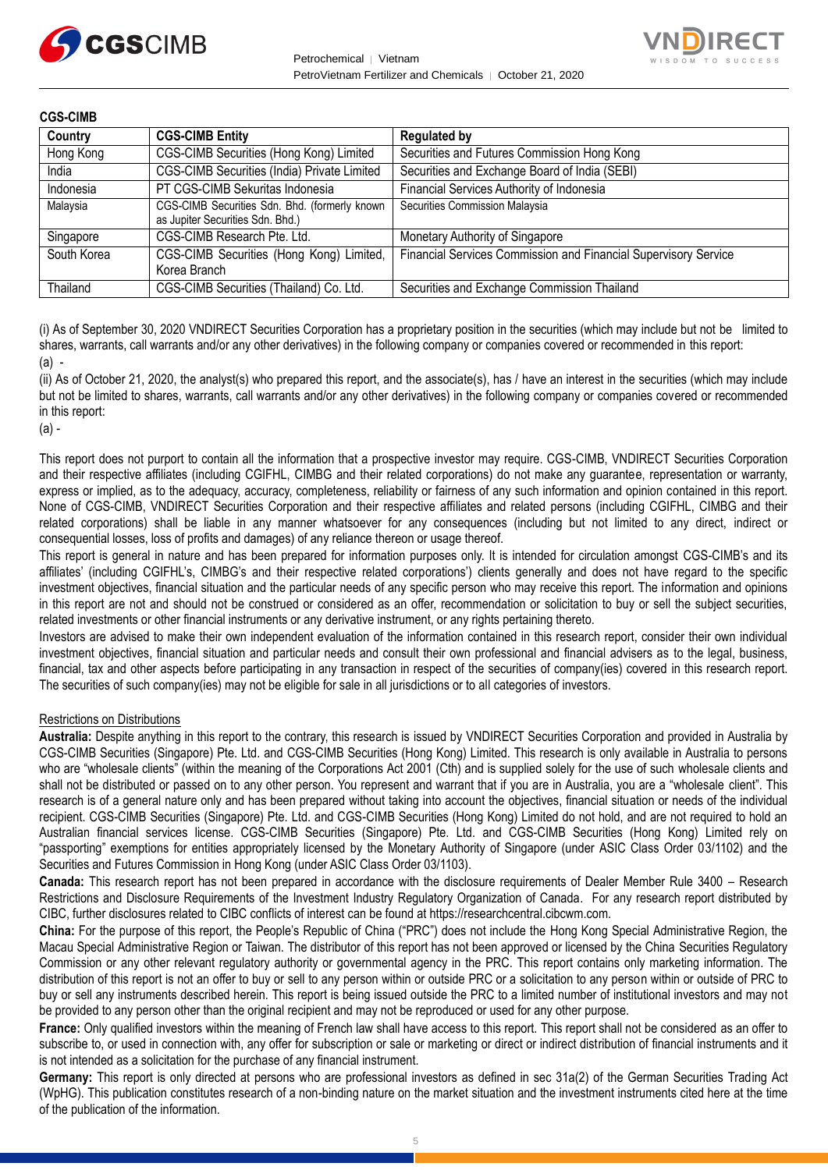



| <b>CGS-CIMB</b> |                                                                                   |                                                                 |
|-----------------|-----------------------------------------------------------------------------------|-----------------------------------------------------------------|
| Country         | <b>CGS-CIMB Entity</b>                                                            | <b>Regulated by</b>                                             |
| Hong Kong       | CGS-CIMB Securities (Hong Kong) Limited                                           | Securities and Futures Commission Hong Kong                     |
| India           | CGS-CIMB Securities (India) Private Limited                                       | Securities and Exchange Board of India (SEBI)                   |
| Indonesia       | PT CGS-CIMB Sekuritas Indonesia                                                   | Financial Services Authority of Indonesia                       |
| Malaysia        | CGS-CIMB Securities Sdn. Bhd. (formerly known<br>as Jupiter Securities Sdn. Bhd.) | Securities Commission Malaysia                                  |
| Singapore       | CGS-CIMB Research Pte. Ltd.                                                       | Monetary Authority of Singapore                                 |
| South Korea     | CGS-CIMB Securities (Hong Kong) Limited,<br>Korea Branch                          | Financial Services Commission and Financial Supervisory Service |
| Thailand        | CGS-CIMB Securities (Thailand) Co. Ltd.                                           | Securities and Exchange Commission Thailand                     |

(i) As of September 30, 2020 VNDIRECT Securities Corporation has a proprietary position in the securities (which may include but not be limited to shares, warrants, call warrants and/or any other derivatives) in the following company or companies covered or recommended in this report:  $(a)$  -

(ii) As of October 21, 2020, the analyst(s) who prepared this report, and the associate(s), has / have an interest in the securities (which may include but not be limited to shares, warrants, call warrants and/or any other derivatives) in the following company or companies covered or recommended in this report:

(a) -

This report does not purport to contain all the information that a prospective investor may require. CGS-CIMB, VNDIRECT Securities Corporation and their respective affiliates (including CGIFHL, CIMBG and their related corporations) do not make any guarantee, representation or warranty, express or implied, as to the adequacy, accuracy, completeness, reliability or fairness of any such information and opinion contained in this report. None of CGS-CIMB, VNDIRECT Securities Corporation and their respective affiliates and related persons (including CGIFHL, CIMBG and their related corporations) shall be liable in any manner whatsoever for any consequences (including but not limited to any direct, indirect or consequential losses, loss of profits and damages) of any reliance thereon or usage thereof.

This report is general in nature and has been prepared for information purposes only. It is intended for circulation amongst CGS-CIMB's and its affiliates' (including CGIFHL's, CIMBG's and their respective related corporations') clients generally and does not have regard to the specific investment objectives, financial situation and the particular needs of any specific person who may receive this report. The information and opinions in this report are not and should not be construed or considered as an offer, recommendation or solicitation to buy or sell the subject securities, related investments or other financial instruments or any derivative instrument, or any rights pertaining thereto.

Investors are advised to make their own independent evaluation of the information contained in this research report, consider their own individual investment objectives, financial situation and particular needs and consult their own professional and financial advisers as to the legal, business, financial, tax and other aspects before participating in any transaction in respect of the securities of company(ies) covered in this research report. The securities of such company(ies) may not be eligible for sale in all jurisdictions or to all categories of investors.

# Restrictions on Distributions

**Australia:** Despite anything in this report to the contrary, this research is issued by VNDIRECT Securities Corporation and provided in Australia by CGS-CIMB Securities (Singapore) Pte. Ltd. and CGS-CIMB Securities (Hong Kong) Limited. This research is only available in Australia to persons who are "wholesale clients" (within the meaning of the Corporations Act 2001 (Cth) and is supplied solely for the use of such wholesale clients and shall not be distributed or passed on to any other person. You represent and warrant that if you are in Australia, you are a "wholesale client". This research is of a general nature only and has been prepared without taking into account the objectives, financial situation or needs of the individual recipient. CGS-CIMB Securities (Singapore) Pte. Ltd. and CGS-CIMB Securities (Hong Kong) Limited do not hold, and are not required to hold an Australian financial services license. CGS-CIMB Securities (Singapore) Pte. Ltd. and CGS-CIMB Securities (Hong Kong) Limited rely on "passporting" exemptions for entities appropriately licensed by the Monetary Authority of Singapore (under ASIC Class Order 03/1102) and the Securities and Futures Commission in Hong Kong (under ASIC Class Order 03/1103).

**Canada:** This research report has not been prepared in accordance with the disclosure requirements of Dealer Member Rule 3400 – Research Restrictions and Disclosure Requirements of the Investment Industry Regulatory Organization of Canada. For any research report distributed by CIBC, further disclosures related to CIBC conflicts of interest can be found at https://researchcentral.cibcwm.com.

**China:** For the purpose of this report, the People's Republic of China ("PRC") does not include the Hong Kong Special Administrative Region, the Macau Special Administrative Region or Taiwan. The distributor of this report has not been approved or licensed by the China Securities Regulatory Commission or any other relevant regulatory authority or governmental agency in the PRC. This report contains only marketing information. The distribution of this report is not an offer to buy or sell to any person within or outside PRC or a solicitation to any person within or outside of PRC to buy or sell any instruments described herein. This report is being issued outside the PRC to a limited number of institutional investors and may not be provided to any person other than the original recipient and may not be reproduced or used for any other purpose.

**France:** Only qualified investors within the meaning of French law shall have access to this report. This report shall not be considered as an offer to subscribe to, or used in connection with, any offer for subscription or sale or marketing or direct or indirect distribution of financial instruments and it is not intended as a solicitation for the purchase of any financial instrument.

**Germany:** This report is only directed at persons who are professional investors as defined in sec 31a(2) of the German Securities Trading Act (WpHG). This publication constitutes research of a non-binding nature on the market situation and the investment instruments cited here at the time of the publication of the information.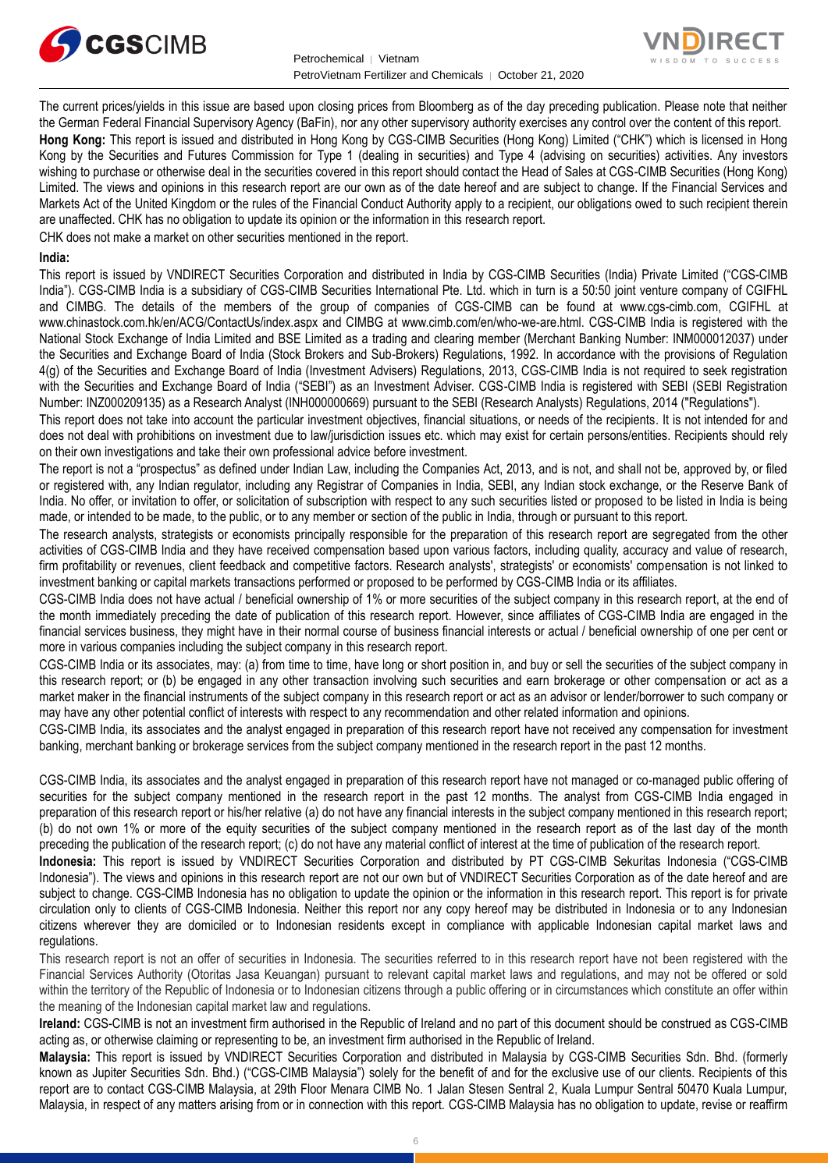



The current prices/yields in this issue are based upon closing prices from Bloomberg as of the day preceding publication. Please note that neither the German Federal Financial Supervisory Agency (BaFin), nor any other supervisory authority exercises any control over the content of this report. **Hong Kong:** This report is issued and distributed in Hong Kong by CGS-CIMB Securities (Hong Kong) Limited ("CHK") which is licensed in Hong Kong by the Securities and Futures Commission for Type 1 (dealing in securities) and Type 4 (advising on securities) activities. Any investors wishing to purchase or otherwise deal in the securities covered in this report should contact the Head of Sales at CGS-CIMB Securities (Hong Kong) Limited. The views and opinions in this research report are our own as of the date hereof and are subject to change. If the Financial Services and Markets Act of the United Kingdom or the rules of the Financial Conduct Authority apply to a recipient, our obligations owed to such recipient therein are unaffected. CHK has no obligation to update its opinion or the information in this research report.

CHK does not make a market on other securities mentioned in the report.

# **India:**

This report is issued by VNDIRECT Securities Corporation and distributed in India by CGS-CIMB Securities (India) Private Limited ("CGS-CIMB India"). CGS-CIMB India is a subsidiary of CGS-CIMB Securities International Pte. Ltd. which in turn is a 50:50 joint venture company of CGIFHL and CIMBG. The details of the members of the group of companies of CGS-CIMB can be found at www.cgs-cimb.com, CGIFHL at www.chinastock.com.hk/en/ACG/ContactUs/index.aspx and CIMBG at www.cimb.com/en/who-we-are.html. CGS-CIMB India is registered with the National Stock Exchange of India Limited and BSE Limited as a trading and clearing member (Merchant Banking Number: INM000012037) under the Securities and Exchange Board of India (Stock Brokers and Sub-Brokers) Regulations, 1992. In accordance with the provisions of Regulation 4(g) of the Securities and Exchange Board of India (Investment Advisers) Regulations, 2013, CGS-CIMB India is not required to seek registration with the Securities and Exchange Board of India ("SEBI") as an Investment Adviser. CGS-CIMB India is registered with SEBI (SEBI Registration Number: INZ000209135) as a Research Analyst (INH000000669) pursuant to the SEBI (Research Analysts) Regulations, 2014 ("Regulations").

This report does not take into account the particular investment objectives, financial situations, or needs of the recipients. It is not intended for and does not deal with prohibitions on investment due to law/jurisdiction issues etc. which may exist for certain persons/entities. Recipients should rely on their own investigations and take their own professional advice before investment.

The report is not a "prospectus" as defined under Indian Law, including the Companies Act, 2013, and is not, and shall not be, approved by, or filed or registered with, any Indian regulator, including any Registrar of Companies in India, SEBI, any Indian stock exchange, or the Reserve Bank of India. No offer, or invitation to offer, or solicitation of subscription with respect to any such securities listed or proposed to be listed in India is being made, or intended to be made, to the public, or to any member or section of the public in India, through or pursuant to this report.

The research analysts, strategists or economists principally responsible for the preparation of this research report are segregated from the other activities of CGS-CIMB India and they have received compensation based upon various factors, including quality, accuracy and value of research, firm profitability or revenues, client feedback and competitive factors. Research analysts', strategists' or economists' compensation is not linked to investment banking or capital markets transactions performed or proposed to be performed by CGS-CIMB India or its affiliates.

CGS-CIMB India does not have actual / beneficial ownership of 1% or more securities of the subject company in this research report, at the end of the month immediately preceding the date of publication of this research report. However, since affiliates of CGS-CIMB India are engaged in the financial services business, they might have in their normal course of business financial interests or actual / beneficial ownership of one per cent or more in various companies including the subject company in this research report.

CGS-CIMB India or its associates, may: (a) from time to time, have long or short position in, and buy or sell the securities of the subject company in this research report; or (b) be engaged in any other transaction involving such securities and earn brokerage or other compensation or act as a market maker in the financial instruments of the subject company in this research report or act as an advisor or lender/borrower to such company or may have any other potential conflict of interests with respect to any recommendation and other related information and opinions.

CGS-CIMB India, its associates and the analyst engaged in preparation of this research report have not received any compensation for investment banking, merchant banking or brokerage services from the subject company mentioned in the research report in the past 12 months.

CGS-CIMB India, its associates and the analyst engaged in preparation of this research report have not managed or co-managed public offering of securities for the subject company mentioned in the research report in the past 12 months. The analyst from CGS-CIMB India engaged in preparation of this research report or his/her relative (a) do not have any financial interests in the subject company mentioned in this research report; (b) do not own 1% or more of the equity securities of the subject company mentioned in the research report as of the last day of the month preceding the publication of the research report; (c) do not have any material conflict of interest at the time of publication of the research report.

**Indonesia:** This report is issued by VNDIRECT Securities Corporation and distributed by PT CGS-CIMB Sekuritas Indonesia ("CGS-CIMB Indonesia"). The views and opinions in this research report are not our own but of VNDIRECT Securities Corporation as of the date hereof and are subject to change. CGS-CIMB Indonesia has no obligation to update the opinion or the information in this research report. This report is for private circulation only to clients of CGS-CIMB Indonesia. Neither this report nor any copy hereof may be distributed in Indonesia or to any Indonesian citizens wherever they are domiciled or to Indonesian residents except in compliance with applicable Indonesian capital market laws and regulations.

This research report is not an offer of securities in Indonesia. The securities referred to in this research report have not been registered with the Financial Services Authority (Otoritas Jasa Keuangan) pursuant to relevant capital market laws and regulations, and may not be offered or sold within the territory of the Republic of Indonesia or to Indonesian citizens through a public offering or in circumstances which constitute an offer within the meaning of the Indonesian capital market law and regulations.

**Ireland:** CGS-CIMB is not an investment firm authorised in the Republic of Ireland and no part of this document should be construed as CGS-CIMB acting as, or otherwise claiming or representing to be, an investment firm authorised in the Republic of Ireland.

**Malaysia:** This report is issued by VNDIRECT Securities Corporation and distributed in Malaysia by CGS-CIMB Securities Sdn. Bhd. (formerly known as Jupiter Securities Sdn. Bhd.) ("CGS-CIMB Malaysia") solely for the benefit of and for the exclusive use of our clients. Recipients of this report are to contact CGS-CIMB Malaysia, at 29th Floor Menara CIMB No. 1 Jalan Stesen Sentral 2, Kuala Lumpur Sentral 50470 Kuala Lumpur, Malaysia, in respect of any matters arising from or in connection with this report. CGS-CIMB Malaysia has no obligation to update, revise or reaffirm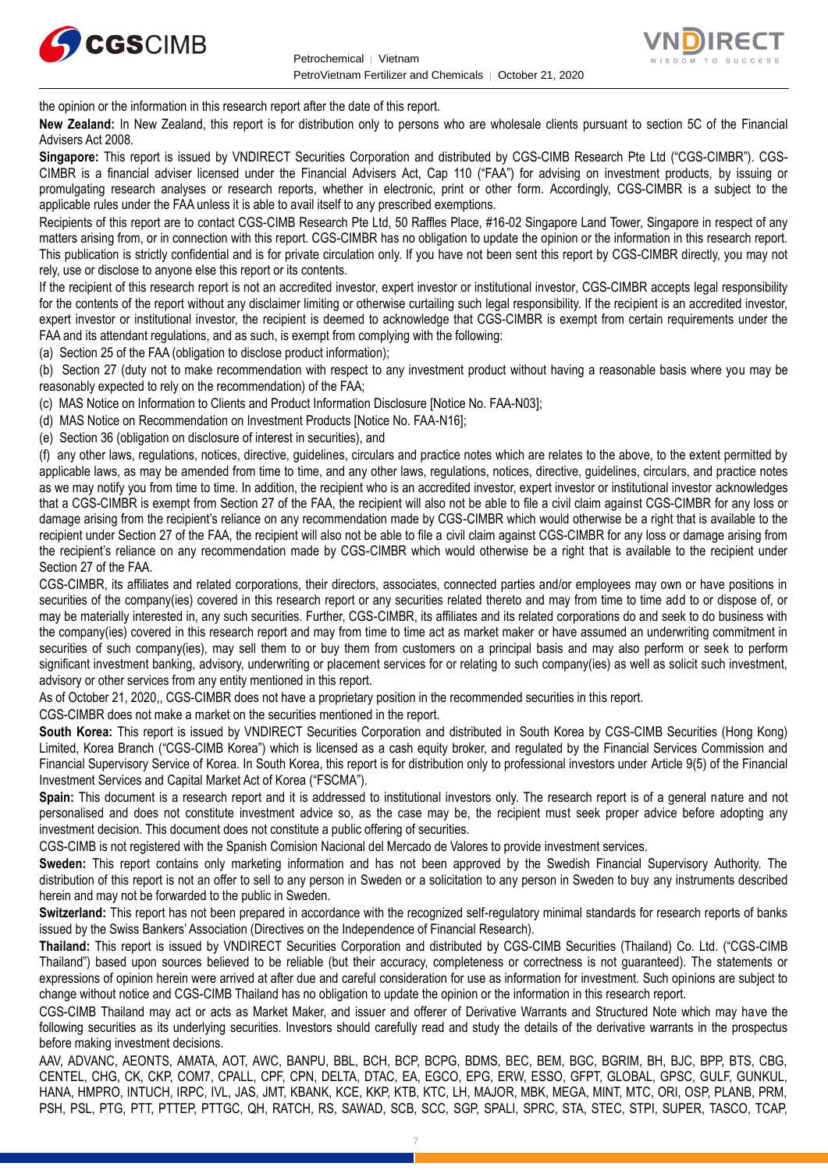



the opinion or the information in this research report after the date of this report.

**New Zealand:** In New Zealand, this report is for distribution only to persons who are wholesale clients pursuant to section 5C of the Financial Advisers Act 2008.

**Singapore:** This report is issued by VNDIRECT Securities Corporation and distributed by CGS-CIMB Research Pte Ltd ("CGS-CIMBR"). CGS-CIMBR is a financial adviser licensed under the Financial Advisers Act, Cap 110 ("FAA") for advising on investment products, by issuing or promulgating research analyses or research reports, whether in electronic, print or other form. Accordingly, CGS-CIMBR is a subject to the applicable rules under the FAA unless it is able to avail itself to any prescribed exemptions.

Recipients of this report are to contact CGS-CIMB Research Pte Ltd, 50 Raffles Place, #16-02 Singapore Land Tower, Singapore in respect of any matters arising from, or in connection with this report. CGS-CIMBR has no obligation to update the opinion or the information in this research report. This publication is strictly confidential and is for private circulation only. If you have not been sent this report by CGS-CIMBR directly, you may not rely, use or disclose to anyone else this report or its contents.

If the recipient of this research report is not an accredited investor, expert investor or institutional investor, CGS-CIMBR accepts legal responsibility for the contents of the report without any disclaimer limiting or otherwise curtailing such legal responsibility. If the recipient is an accredited investor, expert investor or institutional investor, the recipient is deemed to acknowledge that CGS-CIMBR is exempt from certain requirements under the FAA and its attendant regulations, and as such, is exempt from complying with the following:

(a) Section 25 of the FAA (obligation to disclose product information);

(b) Section 27 (duty not to make recommendation with respect to any investment product without having a reasonable basis where you may be reasonably expected to rely on the recommendation) of the FAA;

(c) MAS Notice on Information to Clients and Product Information Disclosure [Notice No. FAA-N03];

(d) MAS Notice on Recommendation on Investment Products [Notice No. FAA-N16];

(e) Section 36 (obligation on disclosure of interest in securities), and

(f) any other laws, regulations, notices, directive, guidelines, circulars and practice notes which are relates to the above, to the extent permitted by applicable laws, as may be amended from time to time, and any other laws, regulations, notices, directive, guidelines, circulars, and practice notes as we may notify you from time to time. In addition, the recipient who is an accredited investor, expert investor or institutional investor acknowledges that a CGS-CIMBR is exempt from Section 27 of the FAA, the recipient will also not be able to file a civil claim against CGS-CIMBR for any loss or damage arising from the recipient's reliance on any recommendation made by CGS-CIMBR which would otherwise be a right that is available to the recipient under Section 27 of the FAA, the recipient will also not be able to file a civil claim against CGS-CIMBR for any loss or damage arising from the recipient's reliance on any recommendation made by CGS-CIMBR which would otherwise be a right that is available to the recipient under Section 27 of the FAA.

CGS-CIMBR, its affiliates and related corporations, their directors, associates, connected parties and/or employees may own or have positions in securities of the company(ies) covered in this research report or any securities related thereto and may from time to time add to or dispose of, or may be materially interested in, any such securities. Further, CGS-CIMBR, its affiliates and its related corporations do and seek to do business with the company(ies) covered in this research report and may from time to time act as market maker or have assumed an underwriting commitment in securities of such company(ies), may sell them to or buy them from customers on a principal basis and may also perform or seek to perform significant investment banking, advisory, underwriting or placement services for or relating to such company(ies) as well as solicit such investment, advisory or other services from any entity mentioned in this report.

As of October 21, 2020,, CGS-CIMBR does not have a proprietary position in the recommended securities in this report.

CGS-CIMBR does not make a market on the securities mentioned in the report.

**South Korea:** This report is issued by VNDIRECT Securities Corporation and distributed in South Korea by CGS-CIMB Securities (Hong Kong) Limited, Korea Branch ("CGS-CIMB Korea") which is licensed as a cash equity broker, and regulated by the Financial Services Commission and Financial Supervisory Service of Korea. In South Korea, this report is for distribution only to professional investors under Article 9(5) of the Financial Investment Services and Capital Market Act of Korea ("FSCMA").

**Spain:** This document is a research report and it is addressed to institutional investors only. The research report is of a general nature and not personalised and does not constitute investment advice so, as the case may be, the recipient must seek proper advice before adopting any investment decision. This document does not constitute a public offering of securities.

CGS-CIMB is not registered with the Spanish Comision Nacional del Mercado de Valores to provide investment services.

**Sweden:** This report contains only marketing information and has not been approved by the Swedish Financial Supervisory Authority. The distribution of this report is not an offer to sell to any person in Sweden or a solicitation to any person in Sweden to buy any instruments described herein and may not be forwarded to the public in Sweden.

**Switzerland:** This report has not been prepared in accordance with the recognized self-regulatory minimal standards for research reports of banks issued by the Swiss Bankers' Association (Directives on the Independence of Financial Research).

**Thailand:** This report is issued by VNDIRECT Securities Corporation and distributed by CGS-CIMB Securities (Thailand) Co. Ltd. ("CGS-CIMB Thailand") based upon sources believed to be reliable (but their accuracy, completeness or correctness is not guaranteed). The statements or expressions of opinion herein were arrived at after due and careful consideration for use as information for investment. Such opinions are subject to change without notice and CGS-CIMB Thailand has no obligation to update the opinion or the information in this research report.

CGS-CIMB Thailand may act or acts as Market Maker, and issuer and offerer of Derivative Warrants and Structured Note which may have the following securities as its underlying securities. Investors should carefully read and study the details of the derivative warrants in the prospectus before making investment decisions.

AAV, ADVANC, AEONTS, AMATA, AOT, AWC, BANPU, BBL, BCH, BCP, BCPG, BDMS, BEC, BEM, BGC, BGRIM, BH, BJC, BPP, BTS, CBG, CENTEL, CHG, CK, CKP, COM7, CPALL, CPF, CPN, DELTA, DTAC, EA, EGCO, EPG, ERW, ESSO, GFPT, GLOBAL, GPSC, GULF, GUNKUL, HANA, HMPRO, INTUCH, IRPC, IVL, JAS, JMT, KBANK, KCE, KKP, KTB, KTC, LH, MAJOR, MBK, MEGA, MINT, MTC, ORI, OSP, PLANB, PRM, PSH, PSL, PTG, PTT, PTTEP, PTTGC, QH, RATCH, RS, SAWAD, SCB, SCC, SGP, SPALI, SPRC, STA, STEC, STPI, SUPER, TASCO, TCAP,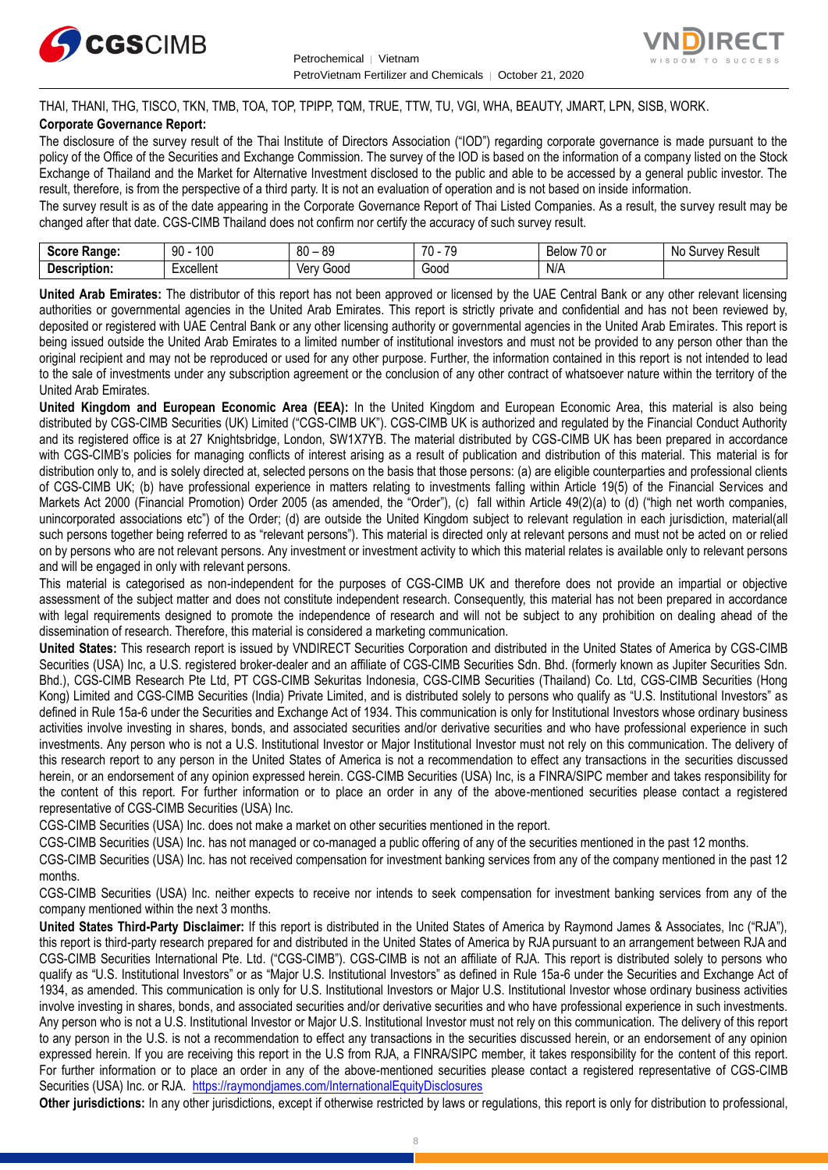



THAI, THANI, THG, TISCO, TKN, TMB, TOA, TOP, TPIPP, TQM, TRUE, TTW, TU, VGI, WHA, BEAUTY, JMART, LPN, SISB, WORK. **Corporate Governance Report:**

The disclosure of the survey result of the Thai Institute of Directors Association ("IOD") regarding corporate governance is made pursuant to the policy of the Office of the Securities and Exchange Commission. The survey of the IOD is based on the information of a company listed on the Stock Exchange of Thailand and the Market for Alternative Investment disclosed to the public and able to be accessed by a general public investor. The result, therefore, is from the perspective of a third party. It is not an evaluation of operation and is not based on inside information.

The survey result is as of the date appearing in the Corporate Governance Report of Thai Listed Companies. As a result, the survey result may be changed after that date. CGS-CIMB Thailand does not confirm nor certify the accuracy of such survey result.

| <b>Range:</b><br>Score     | م∩1<br>۵n<br>טע<br>ĴU | 89<br>80<br>$\overline{\phantom{a}}$ | 70<br>70<br>. . | $\overline{\phantom{a}}$<br>Below<br>$\sim$<br>. ט<br>v | : Result<br>N0<br>urve <sup>.</sup> |
|----------------------------|-----------------------|--------------------------------------|-----------------|---------------------------------------------------------|-------------------------------------|
| <b>Descrip</b><br>ription: | Lyonllont<br>∟∧∪∪แ∪เแ | 000خ<br>Verv                         | 000ن            | N/A                                                     |                                     |

**United Arab Emirates:** The distributor of this report has not been approved or licensed by the UAE Central Bank or any other relevant licensing authorities or governmental agencies in the United Arab Emirates. This report is strictly private and confidential and has not been reviewed by, deposited or registered with UAE Central Bank or any other licensing authority or governmental agencies in the United Arab Emirates. This report is being issued outside the United Arab Emirates to a limited number of institutional investors and must not be provided to any person other than the original recipient and may not be reproduced or used for any other purpose. Further, the information contained in this report is not intended to lead to the sale of investments under any subscription agreement or the conclusion of any other contract of whatsoever nature within the territory of the United Arab Emirates.

**United Kingdom and European Economic Area (EEA):** In the United Kingdom and European Economic Area, this material is also being distributed by CGS-CIMB Securities (UK) Limited ("CGS-CIMB UK"). CGS-CIMB UK is authorized and regulated by the Financial Conduct Authority and its registered office is at 27 Knightsbridge, London, SW1X7YB. The material distributed by CGS-CIMB UK has been prepared in accordance with CGS-CIMB's policies for managing conflicts of interest arising as a result of publication and distribution of this material. This material is for distribution only to, and is solely directed at, selected persons on the basis that those persons: (a) are eligible counterparties and professional clients of CGS-CIMB UK; (b) have professional experience in matters relating to investments falling within Article 19(5) of the Financial Services and Markets Act 2000 (Financial Promotion) Order 2005 (as amended, the "Order"), (c) fall within Article 49(2)(a) to (d) ("high net worth companies, unincorporated associations etc") of the Order; (d) are outside the United Kingdom subject to relevant regulation in each jurisdiction, material(all such persons together being referred to as "relevant persons"). This material is directed only at relevant persons and must not be acted on or relied on by persons who are not relevant persons. Any investment or investment activity to which this material relates is available only to relevant persons and will be engaged in only with relevant persons.

This material is categorised as non-independent for the purposes of CGS-CIMB UK and therefore does not provide an impartial or objective assessment of the subject matter and does not constitute independent research. Consequently, this material has not been prepared in accordance with legal requirements designed to promote the independence of research and will not be subject to any prohibition on dealing ahead of the dissemination of research. Therefore, this material is considered a marketing communication.

**United States:** This research report is issued by VNDIRECT Securities Corporation and distributed in the United States of America by CGS-CIMB Securities (USA) Inc, a U.S. registered broker-dealer and an affiliate of CGS-CIMB Securities Sdn. Bhd. (formerly known as Jupiter Securities Sdn. Bhd.), CGS-CIMB Research Pte Ltd, PT CGS-CIMB Sekuritas Indonesia, CGS-CIMB Securities (Thailand) Co. Ltd, CGS-CIMB Securities (Hong Kong) Limited and CGS-CIMB Securities (India) Private Limited, and is distributed solely to persons who qualify as "U.S. Institutional Investors" as defined in Rule 15a-6 under the Securities and Exchange Act of 1934. This communication is only for Institutional Investors whose ordinary business activities involve investing in shares, bonds, and associated securities and/or derivative securities and who have professional experience in such investments. Any person who is not a U.S. Institutional Investor or Major Institutional Investor must not rely on this communication. The delivery of this research report to any person in the United States of America is not a recommendation to effect any transactions in the securities discussed herein, or an endorsement of any opinion expressed herein. CGS-CIMB Securities (USA) Inc, is a FINRA/SIPC member and takes responsibility for the content of this report. For further information or to place an order in any of the above-mentioned securities please contact a registered representative of CGS-CIMB Securities (USA) Inc.

CGS-CIMB Securities (USA) Inc. does not make a market on other securities mentioned in the report.

CGS-CIMB Securities (USA) Inc. has not managed or co-managed a public offering of any of the securities mentioned in the past 12 months.

CGS-CIMB Securities (USA) Inc. has not received compensation for investment banking services from any of the company mentioned in the past 12 months.

CGS-CIMB Securities (USA) Inc. neither expects to receive nor intends to seek compensation for investment banking services from any of the company mentioned within the next 3 months.

**United States Third-Party Disclaimer:** If this report is distributed in the United States of America by Raymond James & Associates, Inc ("RJA"), this report is third-party research prepared for and distributed in the United States of America by RJA pursuant to an arrangement between RJA and CGS-CIMB Securities International Pte. Ltd. ("CGS-CIMB"). CGS-CIMB is not an affiliate of RJA. This report is distributed solely to persons who qualify as "U.S. Institutional Investors" or as "Major U.S. Institutional Investors" as defined in Rule 15a-6 under the Securities and Exchange Act of 1934, as amended. This communication is only for U.S. Institutional Investors or Major U.S. Institutional Investor whose ordinary business activities involve investing in shares, bonds, and associated securities and/or derivative securities and who have professional experience in such investments. Any person who is not a U.S. Institutional Investor or Major U.S. Institutional Investor must not rely on this communication. The delivery of this report to any person in the U.S. is not a recommendation to effect any transactions in the securities discussed herein, or an endorsement of any opinion expressed herein. If you are receiving this report in the U.S from RJA, a FINRA/SIPC member, it takes responsibility for the content of this report. For further information or to place an order in any of the above-mentioned securities please contact a registered representative of CGS-CIMB Securities (USA) Inc. or RJA.<https://raymondjames.com/InternationalEquityDisclosures>

**Other jurisdictions:** In any other jurisdictions, except if otherwise restricted by laws or regulations, this report is only for distribution to professional,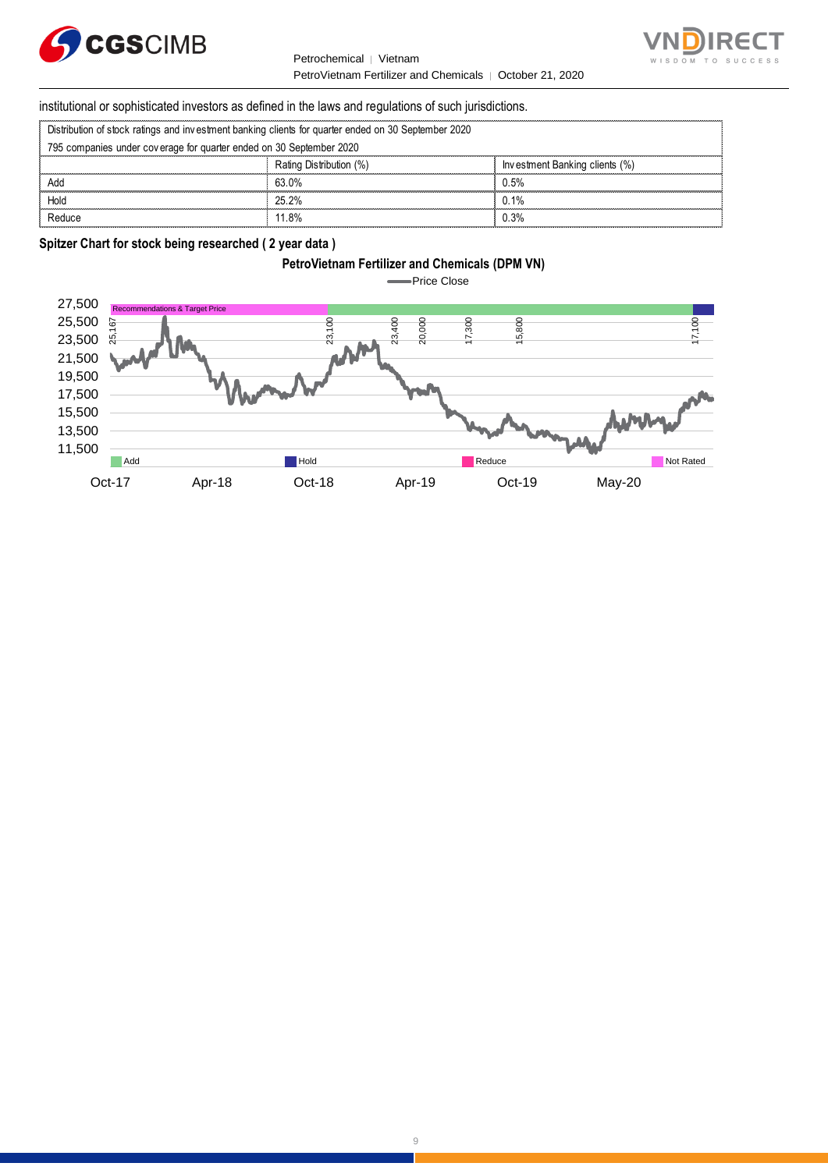

Petrochemical │ Vietnam PetroVietnam Fertilizer and Chemicals | October 21, 2020



institutional or sophisticated investors as defined in the laws and regulations of such jurisdictions. PetroVietnam Fertilizer and Chemic:<br>
Stitutional or sophisticated investors as defined in the laws and regulations of such ju<br>
Distribution of stock ratings and investment banking clients for quarter ended on 30 September

| institutional or sophisticated investors as defined in the laws and regulations of such jurisdictions. |                         |                                |  |
|--------------------------------------------------------------------------------------------------------|-------------------------|--------------------------------|--|
| Distribution of stock ratings and investment banking clients for quarter ended on 30 September 2020    |                         |                                |  |
| 795 companies under coverage for quarter ended on 30 September 2020                                    |                         |                                |  |
|                                                                                                        | Rating Distribution (%) | Investment Banking clients (%) |  |
| Add                                                                                                    | 63.0%                   | 0.5%                           |  |
| Hold                                                                                                   | 25.2%                   | $0.1\%$                        |  |
|                                                                                                        | 11 8%                   | ،3% ۱                          |  |

# **Spitzer Chart for stock being researched ( 2 year data )**

# **PetroVietnam Fertilizer and Chemicals (DPM VN)**

Price Close  $\blacksquare$ 

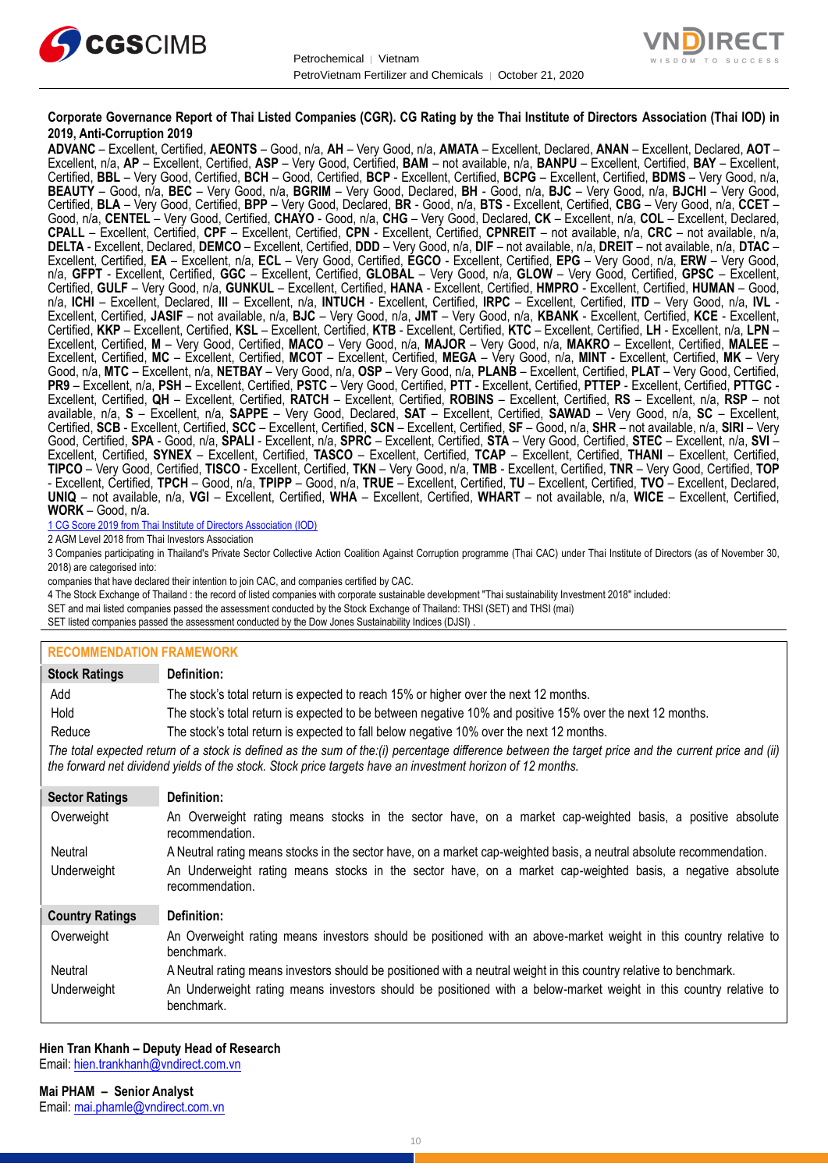



# **Corporate Governance Report of Thai Listed Companies (CGR). CG Rating by the Thai Institute of Directors Association (Thai IOD) in 2019, Anti-Corruption 2019**

**ADVANC** – Excellent, Certified, **AEONTS** – Good, n/a, **AH** – Very Good, n/a, **AMATA** – Excellent, Declared, **ANAN** – Excellent, Declared, **AOT** – Excellent, n/a, **AP** – Excellent, Certified, **ASP** – Very Good, Certified, **BAM** – not available, n/a, **BANPU** – Excellent, Certified, **BAY** – Excellent, Certified, **BBL** – Very Good, Certified, **BCH** – Good, Certified, **BCP** - Excellent, Certified, **BCPG** – Excellent, Certified, **BDMS** – Very Good, n/a, **BEAUTY** – Good, n/a, **BEC** – Very Good, n/a, **BGRIM** – Very Good, Declared, **BH** - Good, n/a, **BJC** – Very Good, n/a, **BJCHI** – Very Good, Certified, **BLA** – Very Good, Certified, **BPP** – Very Good, Declared, **BR** - Good, n/a, **BTS** - Excellent, Certified, **CBG** – Very Good, n/a, **CCET** – Good, n/a, **CENTEL** – Very Good, Certified, **CHAYO** - Good, n/a, **CHG** – Very Good, Declared, **CK** – Excellent, n/a, **COL** – Excellent, Declared, **CPALL** – Excellent, Certified, **CPF** – Excellent, Certified, **CPN** - Excellent, Certified, **CPNREIT** – not available, n/a, **CRC** – not available, n/a, **DELTA** - Excellent, Declared, **DEMCO** – Excellent, Certified, **DDD** – Very Good, n/a, **DIF** – not available, n/a, **DREIT** – not available, n/a, **DTAC** – Excellent, Certified, **EA** – Excellent, n/a, **ECL** – Very Good, Certified, **EGCO** - Excellent, Certified, **EPG** – Very Good, n/a, **ERW** – Very Good, n/a, **GFPT** - Excellent, Certified, **GGC** – Excellent, Certified, **GLOBAL** – Very Good, n/a, **GLOW** – Very Good, Certified, **GPSC** – Excellent, Certified, **GULF** – Very Good, n/a, **GUNKUL** – Excellent, Certified, **HANA** - Excellent, Certified, **HMPRO** - Excellent, Certified, **HUMAN** – Good, n/a, **ICHI** – Excellent, Declared, **III** – Excellent, n/a, **INTUCH** - Excellent, Certified, **IRPC** – Excellent, Certified, **ITD** – Very Good, n/a, **IVL** - Excellent, Certified, **JASIF** – not available, n/a, **BJC** – Very Good, n/a, **JMT** – Very Good, n/a, **KBANK** - Excellent, Certified, **KCE** - Excellent, Certified, **KKP** – Excellent, Certified, **KSL** – Excellent, Certified, **KTB** - Excellent, Certified, **KTC** – Excellent, Certified, **LH** - Excellent, n/a, **LPN** – Excellent, Certified, **M** – Very Good, Certified, **MACO** – Very Good, n/a, **MAJOR** – Very Good, n/a, **MAKRO** – Excellent, Certified, **MALEE** – Excellent, Certified, **MC** – Excellent, Certified, **MCOT** – Excellent, Certified, **MEGA** – Very Good, n/a, **MINT** - Excellent, Certified, **MK** – Very Good, n/a, **MTC** – Excellent, n/a, **NETBAY** – Very Good, n/a, **OSP** – Very Good, n/a, **PLANB** – Excellent, Certified, **PLAT** – Very Good, Certified, **PR9** – Excellent, n/a, **PSH** – Excellent, Certified, **PSTC** – Very Good, Certified, **PTT** - Excellent, Certified, **PTTEP** - Excellent, Certified, **PTTGC** - Excellent, Certified, **QH** – Excellent, Certified, **RATCH** – Excellent, Certified, **ROBINS** – Excellent, Certified, **RS** – Excellent, n/a, **RSP** – not available, n/a, **S** – Excellent, n/a, **SAPPE** – Very Good, Declared, **SAT** – Excellent, Certified, **SAWAD** – Very Good, n/a, **SC** – Excellent, Certified, **SCB** - Excellent, Certified, **SCC** – Excellent, Certified, **SCN** – Excellent, Certified, **SF** – Good, n/a, **SHR** – not available, n/a, **SIRI** – Very Good, Certified, **SPA** - Good, n/a, **SPALI** - Excellent, n/a, **SPRC** – Excellent, Certified, **STA** – Very Good, Certified, **STEC** – Excellent, n/a, **SVI** – Excellent, Certified, **SYNEX** – Excellent, Certified, **TASCO** – Excellent, Certified, **TCAP** – Excellent, Certified, **THANI** – Excellent, Certified, **TIPCO** – Very Good, Certified, **TISCO** - Excellent, Certified, **TKN** – Very Good, n/a, **TMB** - Excellent, Certified, **TNR** – Very Good, Certified, **TOP** - Excellent, Certified, **TPCH** – Good, n/a, **TPIPP** – Good, n/a, **TRUE** – Excellent, Certified, **TU** – Excellent, Certified, **TVO** – Excellent, Declared, **UNIQ** – not available, n/a, **VGI** – Excellent, Certified, **WHA** – Excellent, Certified, **WHART** – not available, n/a, **WICE** – Excellent, Certified, **WORK** – Good, n/a.

1 CG Score 2019 from Thai Institute of Directors Association (IOD)

2 AGM Level 2018 from Thai Investors Association

3 Companies participating in Thailand's Private Sector Collective Action Coalition Against Corruption programme (Thai CAC) under Thai Institute of Directors (as of November 30, 2018) are categorised into:

companies that have declared their intention to join CAC, and companies certified by CAC.

4 [The Stock Exchange of Thailand : the record of listed companies with corporate sustainable development "Thai sustainability Investment 2018" included:](http://www.set.or.th/sustainable_dev/en/sr/sri/tsi_p1.html)

SET and mai listed companies passed the assessment conducted by the Stock Exchange of Thailand: THSI (SET) and THSI (mai)

SET listed companies passed the assessment conducted by the Dow Jones Sustainability Indices (DJSI)

# **RECOMMENDATION FRAMEWORK**

| <b>Stock Ratings</b>                                                                                                                                                                                                                                              | Definition:                                                                                                                     |  |
|-------------------------------------------------------------------------------------------------------------------------------------------------------------------------------------------------------------------------------------------------------------------|---------------------------------------------------------------------------------------------------------------------------------|--|
| Add                                                                                                                                                                                                                                                               | The stock's total return is expected to reach 15% or higher over the next 12 months.                                            |  |
| Hold                                                                                                                                                                                                                                                              | The stock's total return is expected to be between negative 10% and positive 15% over the next 12 months.                       |  |
| Reduce                                                                                                                                                                                                                                                            | The stock's total return is expected to fall below negative 10% over the next 12 months.                                        |  |
| The total expected return of a stock is defined as the sum of the:(i) percentage difference between the target price and the current price and (ii)<br>the forward net dividend yields of the stock. Stock price targets have an investment horizon of 12 months. |                                                                                                                                 |  |
| <b>Sector Ratings</b>                                                                                                                                                                                                                                             | Definition:                                                                                                                     |  |
| Overweight                                                                                                                                                                                                                                                        | An Overweight rating means stocks in the sector have, on a market cap-weighted basis, a positive absolute<br>recommendation.    |  |
| Neutral                                                                                                                                                                                                                                                           | A Neutral rating means stocks in the sector have, on a market cap-weighted basis, a neutral absolute recommendation.            |  |
| Underweight                                                                                                                                                                                                                                                       | An Underweight rating means stocks in the sector have, on a market cap-weighted basis, a negative absolute<br>recommendation.   |  |
| <b>Country Ratings</b>                                                                                                                                                                                                                                            | Definition:                                                                                                                     |  |
| Overweight                                                                                                                                                                                                                                                        | An Overweight rating means investors should be positioned with an above-market weight in this country relative to<br>benchmark. |  |
| Neutral                                                                                                                                                                                                                                                           | A Neutral rating means investors should be positioned with a neutral weight in this country relative to benchmark.              |  |
| Underweight                                                                                                                                                                                                                                                       | An Underweight rating means investors should be positioned with a below-market weight in this country relative to<br>benchmark. |  |

# **Hien Tran Khanh – Deputy Head of Research**

Email: [hien.trankhanh@vndirect.com.vn](mailto:hien.trankhanh@vndirect.com.vn)